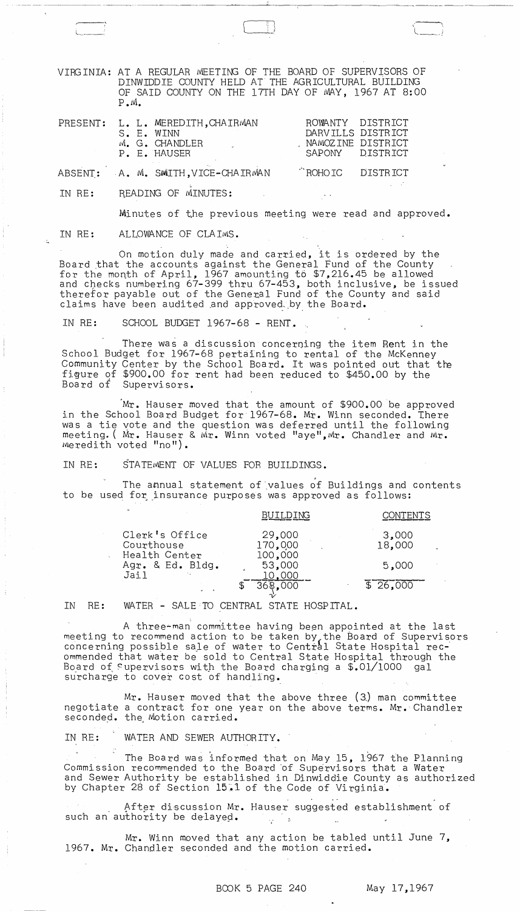VIRGINIA: AT A REGULAR MEETING OF THE BOARD OF SUPERVISORS OF DINWIDDIE COUNTY HELD AT THE AGRICULTURAL BUILDING OF SAID COUNTY ON THE 17TH DAY OF MAY, 1967 AT 8:00  $P \cdot M$ .

 $\Box$ ! .) L \_\_ -- l \_\_\_ !

| PRESENT: |  | L. L. MEREDITH, CHAIRMAN<br>S. E. WINN<br>M. G. CHANDLER<br>the company of the company<br>P. E. HAUSER | DARVILLS DISTRICT<br>NAMOZINE DISTRICT | ROWANTY DISTRICT<br>SAPONY DISTRICT |
|----------|--|--------------------------------------------------------------------------------------------------------|----------------------------------------|-------------------------------------|
|          |  | ABSENT: A. M. SMITH, VICE-CHAIRMAN                                                                     | ROHOIC DISTRICT                        |                                     |

IN RE: READING OF MINUTES:

Minutes of the previous meeting were read and approved.

~~~~~~~--~~~~~~-~~-----

IN RE: ALLOWANCE OF CLAIMS.

On motion duly made and carried, it is ordered by the Board that the accounts against the General Fund of the County for the month of April, 1967 amounting to \$7,216.45 be allowed and checks numbering 67-399 thru 67-453, both inclusive, be issued therefor payable out of the General Fund of the County and said claims have been audited and approved by the Board.

IN RE: SCHOOL BUDGET 1967-68 - RENT..

There was a discussion concerning the item Rent in the School Budget for 1967-68 pertaining to rental of the McKenney Community Center by the School Board. It was pointed out that the figure of \$900.00 for rent had been reduced to \$450.00 by the Board of Supervisors.

Mr. Hauser moved that the amount of \$900.00 be approved in the School Board Budget for 1967-68. Mr. Winn seconded. There was a tie yote and the question was deferred until the following meeting. ( Mr. Hauser & Mr. Winn voted "aye", Mr. Chandler and Mr. Meredith voted "no ").

IN RE: STATEMENT OF VALUES FOR BUILDINGS.

, The annual statement of values of Buildings and contents to be used for insurance purposes was approved as follows:

|                                               | BUILDING                     | ONTENTS         |
|-----------------------------------------------|------------------------------|-----------------|
| Clerk's Office<br>Courthouse<br>Health Center | 29,000<br>170,000<br>100,000 | 3,000<br>18,000 |
| Agr. & Ed. Bldg.<br>Jail<br>$\sim$ $\mu$      | 53,000<br>10,000             | 5,000           |
|                                               | 368,000                      | $\sqrt{26,000}$ |

IN RE: WATER - SALE TO CENTRAL STATE HOSPITAL.

A three-man committee having been appointed at the last meeting to recommend action to be taken by, the Board of Supervisors concerning possible sale of water to Central State Hospital recommended that water be sold to Central State Hospital through the Board of Supervisors with the Board charging a  $$.01/1000$  gal surcharge to cover cost of handling.

Mr. Hauser moved that the above three (3) man committee negotiate a contract for one year on the above terms. Mr. Chandler seconded. the Motion carried.

IN RE: WATER AND SEWER AUTHORITY.

The Board was informed that on May 15, 1967 the Planning Commission recommended to the Board of Supervisors that a Water and Sewer Authority be established in Dinwiddie County as authorized by Chapter 28 of Section 15.1 of the Code of Virginia.

After discussion Mr. Hauser suggested establishment of such an authority be delayed.  $\frac{1}{2}$  $\mathcal{L}_{\text{max}}$ 

Mr. Winn moved that any action be tabled until June  $7$ , 1967. Mr. Chandler seconded and the motion carried.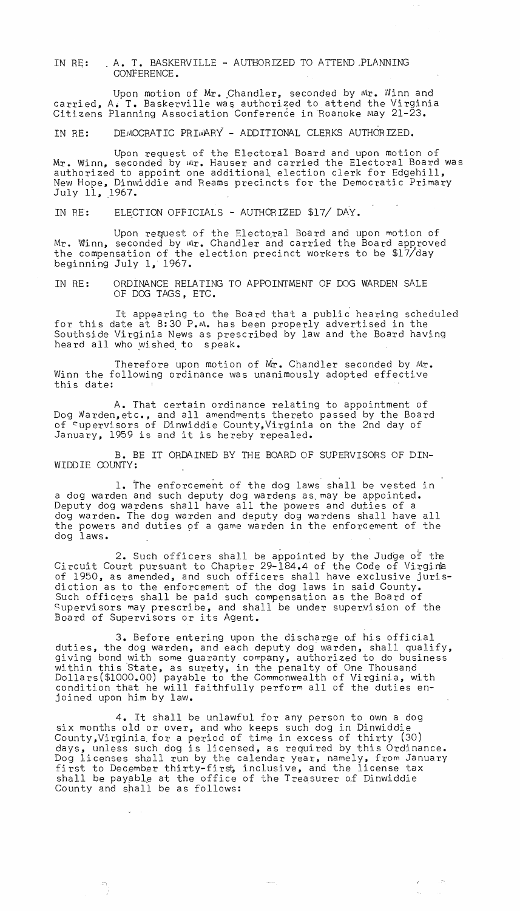IN RE: A. T. BASKERVILLE - AUTHORIZED TO ATTEND PLANNING CONFERENCE.

Upon motion of Mr. Chandler, seconded by Mr. Winn and carried, A. T. Baskerville was authorized to attend the Virginia Citizens Planning Association Conference in Roanoke May 21-23.

IN RE: DEMOCRATIC PRIMARY - ADDITIONAL CLERKS AUTHORIZED.

Upon request of the Electoral Board and upon motion of Mr. Winn, seconded by Mr. Hauser and carried the Electoral Board was authorized to appoint one additional election clerk for Edgehill, New Hope, Dinwiddie and Reams precincts for the Democratic Primary July 11, 1967.

IN RE: ELECTION OFFICIALS - AUTHORIZED \$17/ DAY.

Upon request of the Electoral Board and upon motion of Mr. Winn, seconded by Mr. Chandler and carried the Board approved the compensation of the election precinct workers to be \$17/day beginning July 1, 1967.

IN RE: ORDINANCE RELATING TO APPOINTMENT OF DOG WARDEN SALE OF DOG TAGS, ETC.

It appearing to the Board that a public hearing scheduled for this date at 8:30 P.M. has been properly advertised in the Southside Virginia News as prescribed by law and the Board having heard all who wished to speak.

Therefore upon motion of Mr. Chandler seconded by Mr. Winn the following ordinance was unanimously adopted effective this date:

A. That certain ordinance relating to appointment of Dog Narden,etc., and all amendments thereto passed by the Board of cupervisors of Dinwiddie County,Virginia on the 2nd day of January, 1959 is and it is hereby repealed.

B. BE IT ORDAINED BY THE BOARD OF SUPERVISORS OF DIN-WIDDIE COUNTY:

1. The enforcement of the dog laws shall be vested in a dog warden and such deputy dog wardens as may be appointed. Deputy dog wardens shall have all the powers and duties of a dog warden. The dog warden and deputy dog wardens shall have all the powers and duties of a game warden in the enforcement of the dog laws.

 $2.$  Such officers shall be appointed by the Judge of the Circuit Court pursuant to Chapter 29-184.4 of the Code of Virgirie of 1950, as amended, and such officers shall have exclusive jurisdiction as to the enforcement of the dog laws in said County. Such officers shall be paid such compensation as the Board of Supervisors may prescribe, and shall be under supervision of the Board of Supervisors or its Agent.

3. Before entering upon the discharge o£ his official duties, the dog warden, and each deputy dog'warden, shall qualify, giving bond with some guaranty company, authorized to do business within this State, as surety, in the penalty of One Thousand Dollars(\$lOOO.OO) payable to the Commonwealth of Virginia, with condition that he will faithfully perform all of the duties enjoined upon him by law.

4. It shall be unlawful for any person to own a dog six months old or over, and who keeps such dog in Dinwiddie County,Virginia. for a period of time in excess of thirty (30) days, unless such dog is licensed, as required by this Ordinance. Dog licenses shall run by the calendar year, namely, from January first to December thirty-first, inclusive, and the license tax shall be payable at the office of the Treasurer of Dinwiddie County and shall be as follows:

 $\mathcal{L}_{\mathcal{S}}$ 

 $\langle \phi \rangle = \langle \phi \rangle$ 

 $\mathbb{R}^2$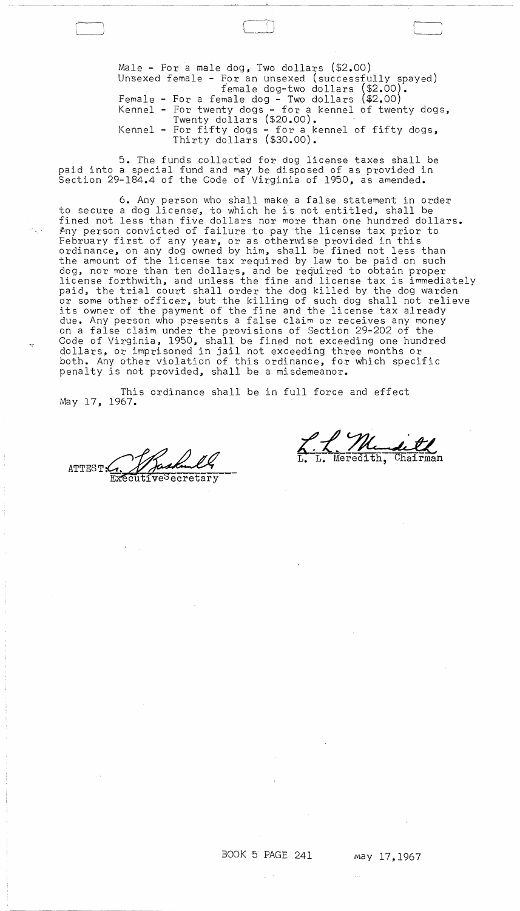Male - For a male dog, Two dollars (\$2.00) Unsexed female - For an unsexed (successfully spayed) female dog-two dollars (\$2.00). Female - For a female dog - Two dollars (\$2.00) Kennel - For twenty dogs - for a kennel of twenty dogs, Twenty dollars (\$20.00). Kennel - For fifty dogs - for a kennel of fifty dogs, Thirty dollars (\$30.00).

 $\Box$ 

5. The funds collec~ed for dog license taxes shall be paid into a special fund and may be disposed of as provided in Section 29-184.4 of the Code of Virginia of 1950, as amended.

6. Any person who shall make, a false statement in order to secure a dog license, to which he is not entitled, shall be fined not less than five dollars nor more than one hundred dollars. Pny person convicted of failure to pay the license tax prior to February first of any year, or as otherwise provided in this ordinance, on any dog owned by him, shall be fined not less than the amount of the license tax required by law to be paid on such dog, nor more than ten dollars, and be required to obtain proper license forthwith, and unless the fine and license tax is immediately paid, the trial court shall order the dog killed by the dog warden or some other officer, but the killing of such dog shall not relieve its owner of the payment of the fine and the license tax already due. Any person who presents a false claim or receives any money on a false claim under the provisions of Section 29-202 of the Code of Virginia, 1950, shall be fined not exceeding one hundred dollars, or imprisoned in jail not exceeding three months or both. Any other violation of this ordinance, for which specific penalty is not provided, shall be a misdemeanor.

This ordinance shall be in full force and effect May 17, 1967.

ATTEST: ExecutiveSecretary

L. L. Mendi

 $\sim 10^{-10}$  .

 $\sim 100$ 

 $\mathcal{L}^{\text{max}}_{\text{max}}$ 

 $\sim 100$ 

 $\mathcal{L}^{\text{max}}_{\text{max}}$  and  $\mathcal{L}^{\text{max}}_{\text{max}}$